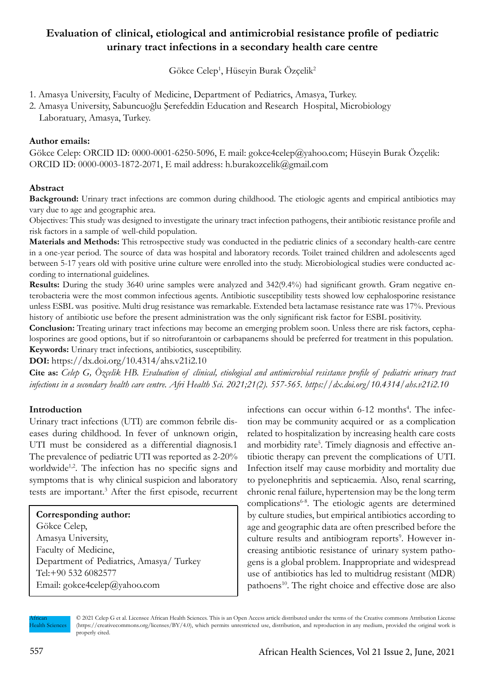# **Evaluation of clinical, etiological and antimicrobial resistance profile of pediatric urinary tract infections in a secondary health care centre**

Gökce Celep<sup>1</sup>, Hüseyin Burak Özçelik<sup>2</sup>

- 1. Amasya University, Faculty of Medicine, Department of Pediatrics, Amasya, Turkey.
- 2. Amasya University, Sabuncuoğlu Şerefeddin Education and Research Hospital, Microbiology
	- Laboratuary, Amasya, Turkey.

## **Author emails:**

Gökce Celep: ORCID ID: 0000-0001-6250-5096, E mail: gokce4celep@yahoo.com; Hüseyin Burak Özçelik: ORCID ID: 0000-0003-1872-2071, E mail address: h.burakozcelik@gmail.com

## **Abstract**

**Background:** Urinary tract infections are common during childhood. The etiologic agents and empirical antibiotics may vary due to age and geographic area.

Objectives: This study was designed to investigate the urinary tract infection pathogens, their antibiotic resistance profile and risk factors in a sample of well-child population.

**Materials and Methods:** This retrospective study was conducted in the pediatric clinics of a secondary health-care centre in a one-year period. The source of data was hospital and laboratory records. Toilet trained children and adolescents aged between 5-17 years old with positive urine culture were enrolled into the study. Microbiological studies were conducted according to international guidelines.

**Results:** During the study 3640 urine samples were analyzed and 342(9.4%) had significant growth. Gram negative enterobacteria were the most common infectious agents. Antibiotic susceptibility tests showed low cephalosporine resistance unless ESBL was positive. Multi drug resistance was remarkable. Extended beta lactamase resistance rate was 17%. Previous history of antibiotic use before the present administration was the only significant risk factor for ESBL positivity.

**Conclusion:** Treating urinary tract infections may become an emerging problem soon. Unless there are risk factors, cephalosporines are good options, but if so nitrofurantoin or carbapanems should be preferred for treatment in this population. **Keywords:** Urinary tract infections, antibiotics, susceptibility.

**DOI:** https://dx.doi.org/10.4314/ahs.v21i2.10

**Cite as:** *Celep G, Özçelik HB. Evaluation of clinical, etiological and antimicrobial resistance profile of pediatric urinary tract infections in a secondary health care centre. Afri Health Sci. 2021;21(2). 557-565. https://dx.doi.org/10.4314/ahs.v21i2.10*

# **Introduction**

Urinary tract infections (UTI) are common febrile diseases during childhood. In fever of unknown origin, UTI must be considered as a differential diagnosis.1 The prevalence of pediatric UTI was reported as 2-20% worldwide<sup>1,2</sup>. The infection has no specific signs and symptoms that is why clinical suspicion and laboratory tests are important.<sup>3</sup> After the first episode, recurrent

#### **Corresponding author:**

Gökce Celep, Amasya University, Faculty of Medicine, Department of Pediatrics, Amasya/ Turkey Tel:+90 532 6082577 Email: gokce4celep@yahoo.com

infections can occur within 6-12 months<sup>4</sup>. The infection may be community acquired or as a complication related to hospitalization by increasing health care costs and morbidity rate<sup>5</sup>. Timely diagnosis and effective antibiotic therapy can prevent the complications of UTI. Infection itself may cause morbidity and mortality due to pyelonephritis and septicaemia. Also, renal scarring, chronic renal failure, hypertension may be the long term complications6-8. The etiologic agents are determined by culture studies, but empirical antibiotics according to age and geographic data are often prescribed before the culture results and antibiogram reports<sup>9</sup>. However increasing antibiotic resistance of urinary system pathogens is a global problem. Inappropriate and widespread use of antibiotics has led to multidrug resistant (MDR) pathoens<sup>10</sup>. The right choice and effective dose are also

African ealth Sciences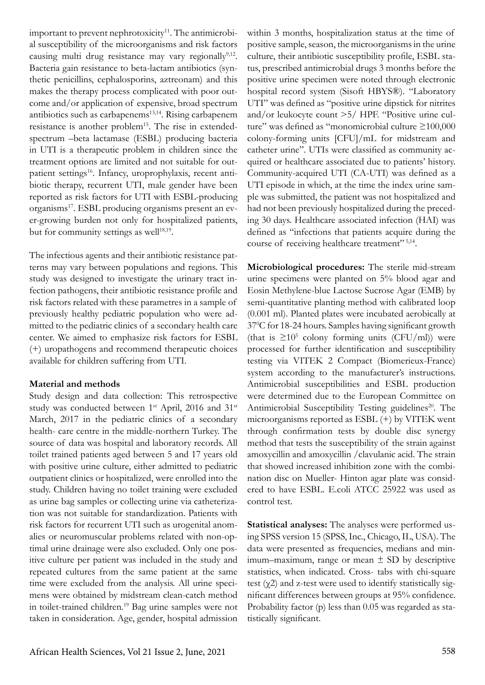important to prevent nephrotoxicity $11$ . The antimicrobial susceptibility of the microorganisms and risk factors causing multi drug resistance may vary regionally<sup>9,12</sup>. Bacteria gain resistance to beta-lactam antibiotics (synthetic penicillins, cephalosporins, aztreonam) and this makes the therapy process complicated with poor outcome and/or application of expensive, broad spectrum antibiotics such as carbapenems<sup>13,14</sup>. Rising carbapenem resistance is another problem<sup>15</sup>. The rise in extendedspectrum –beta lactamase (ESBL) producing bacteria in UTI is a therapeutic problem in children since the treatment options are limited and not suitable for outpatient settings<sup>16</sup>. Infancy, uroprophylaxis, recent antibiotic therapy, recurrent UTI, male gender have been reported as risk factors for UTI with ESBL-producing organisms<sup>17</sup>. ESBL producing organisms present an ever-growing burden not only for hospitalized patients, but for community settings as well $18,19$ .

The infectious agents and their antibiotic resistance patterns may vary between populations and regions. This study was designed to investigate the urinary tract infection pathogens, their antibiotic resistance profile and risk factors related with these parametres in a sample of previously healthy pediatric population who were admitted to the pediatric clinics of a secondary health care center. We aimed to emphasize risk factors for ESBL (+) uropathogens and recommend therapeutic choices available for children suffering from UTI.

# **Material and methods**

Study design and data collection: This retrospective study was conducted between 1<sup>st</sup> April, 2016 and 31<sup>st</sup> March, 2017 in the pediatric clinics of a secondary health- care centre in the middle-northern Turkey. The source of data was hospital and laboratory records. All toilet trained patients aged between 5 and 17 years old with positive urine culture, either admitted to pediatric outpatient clinics or hospitalized, were enrolled into the study. Children having no toilet training were excluded as urine bag samples or collecting urine via catheterization was not suitable for standardization. Patients with risk factors for recurrent UTI such as urogenital anomalies or neuromuscular problems related with non-optimal urine drainage were also excluded. Only one positive culture per patient was included in the study and repeated cultures from the same patient at the same time were excluded from the analysis. All urine specimens were obtained by midstream clean-catch method in toilet-trained children.19 Bag urine samples were not taken in consideration. Age, gender, hospital admission

within 3 months, hospitalization status at the time of positive sample, season, the microorganisms in the urine culture, their antibiotic susceptibility profile, ESBL status, prescribed antimicrobial drugs 3 months before the positive urine specimen were noted through electronic hospital record system (Sisoft HBYS®). "Laboratory UTI" was defined as "positive urine dipstick for nitrites and/or leukocyte count >5/ HPF. "Positive urine culture" was defined as "monomicrobial culture ≥100,000 colony-forming units [CFU]/mL for midstream and catheter urine". UTIs were classified as community acquired or healthcare associated due to patients' history. Community-acquired UTI (CA-UTI) was defined as a UTI episode in which, at the time the index urine sample was submitted, the patient was not hospitalized and had not been previously hospitalized during the preceding 30 days. Healthcare associated infection (HAI) was defined as "infections that patients acquire during the course of receiving healthcare treatment" 5,14.

**Microbiological procedures:** The sterile mid-stream urine specimens were planted on 5% blood agar and Eosin Methylene-blue Lactose Sucrose Agar (EMB) by semi-quantitative planting method with calibrated loop (0.001 ml). Planted plates were incubated aerobically at 370 C for 18-24 hours. Samples having significant growth (that is  $\geq 10^5$  colony forming units (CFU/ml)) were processed for further identification and susceptibility testing via VITEK 2 Compact (Biomerieux-France) system according to the manufacturer's instructions. Antimicrobial susceptibilities and ESBL production were determined due to the European Committee on Antimicrobial Susceptibility Testing guidelines<sup>20</sup>. The microorganisms reported as ESBL (+) by VITEK went through confirmation tests by double disc synergy method that tests the susceptibility of the strain against amoxycillin and amoxycillin /clavulanic acid. The strain that showed increased inhibition zone with the combination disc on Mueller- Hinton agar plate was considered to have ESBL. E.coli ATCC 25922 was used as control test.

**Statistical analyses:** The analyses were performed using SPSS version 15 (SPSS, Inc., Chicago, IL, USA). The data were presented as frequencies, medians and minimum–maximum, range or mean  $\pm$  SD by descriptive statistics, when indicated. Cross- tabs with chi-square test  $(\gamma 2)$  and z-test were used to identify statistically significant differences between groups at 95% confidence. Probability factor (p) less than 0.05 was regarded as statistically significant.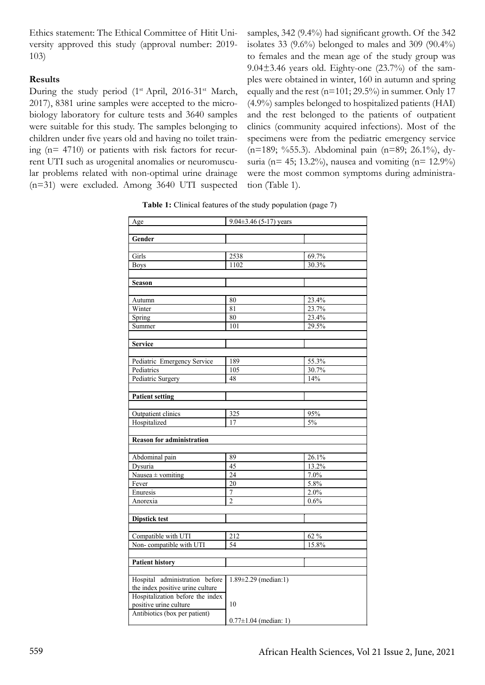Ethics statement: The Ethical Committee of Hitit University approved this study (approval number: 2019- 103)

#### **Results**

During the study period  $(1^{st}$  April, 2016-31<sup>st</sup> March, 2017), 8381 urine samples were accepted to the microbiology laboratory for culture tests and 3640 samples were suitable for this study. The samples belonging to children under five years old and having no toilet training (n= 4710) or patients with risk factors for recurrent UTI such as urogenital anomalies or neuromuscular problems related with non-optimal urine drainage (n=31) were excluded. Among 3640 UTI suspected

samples, 342 (9.4%) had significant growth. Of the 342 isolates 33  $(9.6\%)$  belonged to males and 309  $(90.4\%)$ to females and the mean age of the study group was  $9.04\pm3.46$  years old. Eighty-one  $(23.7%)$  of the samples were obtained in winter, 160 in autumn and spring equally and the rest ( $n=101$ ; 29.5%) in summer. Only 17 (4.9%) samples belonged to hospitalized patients (HAI) and the rest belonged to the patients of outpatient clinics (community acquired infections). Most of the specimens were from the pediatric emergency service (n=189; %55.3). Abdominal pain (n=89; 26.1%), dysuria ( $n= 45$ ; 13.2%), nausea and vomiting ( $n= 12.9%$ ) were the most common symptoms during administration (Table 1).

**Table 1:** Clinical features of the study population (page 7)

| Age                                       | $9.04 \pm 3.46$ (5-17) years |                |  |  |  |  |  |
|-------------------------------------------|------------------------------|----------------|--|--|--|--|--|
| Gender                                    |                              |                |  |  |  |  |  |
|                                           |                              |                |  |  |  |  |  |
| Girls                                     | 2538                         | 69.7%          |  |  |  |  |  |
| <b>Boys</b>                               | 1102                         | 30.3%          |  |  |  |  |  |
| <b>Season</b>                             |                              |                |  |  |  |  |  |
|                                           |                              |                |  |  |  |  |  |
| Autumn                                    | 80                           | 23.4%          |  |  |  |  |  |
| Winter                                    | 81                           | 23.7%          |  |  |  |  |  |
| Spring                                    | 80                           | 23.4%          |  |  |  |  |  |
| Summer                                    | 101                          | 29.5%          |  |  |  |  |  |
|                                           |                              |                |  |  |  |  |  |
| <b>Service</b>                            |                              |                |  |  |  |  |  |
|                                           |                              |                |  |  |  |  |  |
| Pediatric Emergency Service<br>Pediatrics | 189<br>105                   | 55.3%<br>30.7% |  |  |  |  |  |
| Pediatric Surgery                         | 48                           | 14%            |  |  |  |  |  |
|                                           |                              |                |  |  |  |  |  |
| <b>Patient setting</b>                    |                              |                |  |  |  |  |  |
|                                           |                              |                |  |  |  |  |  |
| Outpatient clinics                        | 325                          | 95%            |  |  |  |  |  |
| Hospitalized                              | 17                           | $5\%$          |  |  |  |  |  |
|                                           |                              |                |  |  |  |  |  |
| <b>Reason for administration</b>          |                              |                |  |  |  |  |  |
|                                           |                              |                |  |  |  |  |  |
| Abdominal pain                            | 89                           | 26.1%          |  |  |  |  |  |
| Dysuria                                   | 45                           | 13.2%          |  |  |  |  |  |
| Nausea $\pm$ vomiting                     | $\overline{24}$              | 7.0%           |  |  |  |  |  |
| Fever                                     | $\overline{20}$              | 5.8%           |  |  |  |  |  |
| Enuresis                                  | $\overline{7}$               | 2.0%           |  |  |  |  |  |
| Anorexia                                  | $\overline{2}$               | 0.6%           |  |  |  |  |  |
|                                           |                              |                |  |  |  |  |  |
| <b>Dipstick test</b>                      |                              |                |  |  |  |  |  |
| Compatible with UTI                       | 212                          | $62~\%$        |  |  |  |  |  |
| Non-compatible with UTI                   | 54                           | 15.8%          |  |  |  |  |  |
|                                           |                              |                |  |  |  |  |  |
| <b>Patient history</b>                    |                              |                |  |  |  |  |  |
|                                           |                              |                |  |  |  |  |  |
| Hospital administration before            | $1.89 \pm 2.29$ (median:1)   |                |  |  |  |  |  |
| the index positive urine culture          |                              |                |  |  |  |  |  |
| Hospitalization before the index          |                              |                |  |  |  |  |  |
| positive urine culture                    | 10                           |                |  |  |  |  |  |
| Antibiotics (box per patient)             | $0.77 \pm 1.04$ (median: 1)  |                |  |  |  |  |  |
|                                           |                              |                |  |  |  |  |  |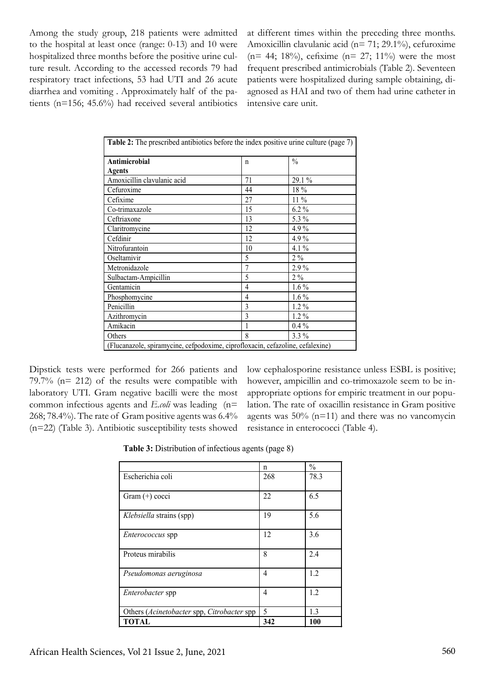Among the study group, 218 patients were admitted to the hospital at least once (range: 0-13) and 10 were hospitalized three months before the positive urine culture result. According to the accessed records 79 had respiratory tract infections, 53 had UTI and 26 acute diarrhea and vomiting . Approximately half of the patients (n=156; 45.6%) had received several antibiotics at different times within the preceding three months. Amoxicillin clavulanic acid (n= 71; 29.1%), cefuroxime  $(n= 44; 18\%)$ , cefixime  $(n= 27; 11\%)$  were the most frequent prescribed antimicrobials (Table 2). Seventeen patients were hospitalized during sample obtaining, diagnosed as HAI and two of them had urine catheter in intensive care unit.

| Antimicrobial               | $\mathsf{n}$   | $\frac{0}{0}$ |
|-----------------------------|----------------|---------------|
| <b>Agents</b>               |                |               |
| Amoxicillin clavulanic acid | 71             | $29.1\%$      |
| Cefuroxime                  | 44             | 18 %          |
| Cefixime                    | 27             | $11\%$        |
| Co-trimaxazole              | 15             | $6.2\%$       |
| Ceftriaxone                 | 13             | 5.3 %         |
| Claritromycine              | 12             | 4.9%          |
| Cefdinir                    | 12             | $4.9\%$       |
| Nitrofurantoin              | 10             | $4.1\%$       |
| Oseltamivir                 | 5              | $2\%$         |
| Metronidazole               | $\overline{7}$ | $2.9\%$       |
| Sulbactam-Ampicillin        | 5              | $2\%$         |
| Gentamicin                  | 4              | $1.6\%$       |
| Phosphomycine               | 4              | $1.6\%$       |
| Penicillin                  | 3              | $1.2\%$       |
| Azithromycin                | 3              | $1.2\%$       |
| Amikacin                    |                | $0.4\%$       |
| Others                      | 8              | 3.3 %         |

Dipstick tests were performed for 266 patients and 79.7% (n= 212) of the results were compatible with laboratory UTI. Gram negative bacilli were the most common infectious agents and *E.coli* was leading (n= 268; 78.4%). The rate of Gram positive agents was 6.4% (n=22) (Table 3). Antibiotic susceptibility tests showed low cephalosporine resistance unless ESBL is positive; however, ampicillin and co-trimoxazole seem to be inappropriate options for empiric treatment in our population. The rate of oxacillin resistance in Gram positive agents was  $50\%$  (n=11) and there was no vancomycin resistance in enterococci (Table 4).

**Table 3:** Distribution of infectious agents (page 8)

|                                            | n   | $\frac{0}{0}$ |
|--------------------------------------------|-----|---------------|
| Escherichia coli                           | 268 | 78.3          |
| Gram $(+)$ cocci                           | 22  | 6.5           |
| Klebsiella strains (spp)                   | 19  | 5.6           |
| <i>Enterococcus</i> spp                    | 12  | 3.6           |
| Proteus mirabilis                          | 8   | 2.4           |
| Pseudomonas aeruginosa                     | 4   | 1.2           |
| <i>Enterobacter</i> spp                    | 4   | 1.2           |
| Others (Acinetobacter spp, Citrobacter spp | 5   | 1.3           |
| TOTAL                                      | 342 | 100           |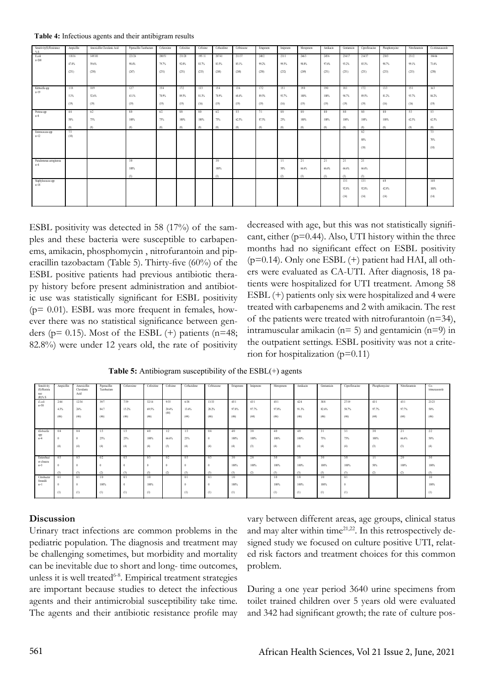**Table 4:** Infectious agents and their antibigram results

| Sensitivity(S)/Resistance<br>% S | Ampicillin | Amoxicillin Clavulanic Acid | Piperacillin Tazobactam | Cefuroxime | Cefoxitine | Cefixime | Ceftazidime | Ceftriaxone | Ertapenem | Imipenem | Meropenem | Amikacin | Gentamicin | Ciprofloxacine | Phosphomycine | Nitrofurantoin | Co-trimaxasozole |
|----------------------------------|------------|-----------------------------|-------------------------|------------|------------|----------|-------------|-------------|-----------|----------|-----------|----------|------------|----------------|---------------|----------------|------------------|
| E.coli                           | 118/16     | 149/101                     | 221/26                  | 200/51     | 231/20     | 195/11   | 207/41      | 211/37      | 248/2     | 231/1    | 246/3     | 245/6    | 234/17     | 214/37         | 230/3         | 231/2          | 184/66           |
| $n = 268$                        | 47.0%      | 59.6%                       | 98.4%                   | 79.7%      | 92.0%      | 83.7%    | 83.5%       | 85.1%       | 99.2%     | 99.5%    | 98.8%     | 97.6%    | 93.2%      | 85.3%          | 98.7%         | 99.1%          | 73.6%            |
|                                  |            |                             |                         |            |            |          |             |             |           |          |           |          |            |                |               |                |                  |
|                                  | (251)      | (250)                       | (247)                   | (251)      | (251)      | (233)    | (248)       | (248)       | (250)     | (232)    | (249)     | (251)    | (251)      | (251)          | (233)         | (233)          | (250)            |
|                                  |            |                             |                         |            |            |          |             |             |           |          |           |          |            |                |               |                |                  |
| Klebsiella spp<br>$n=19$         | 1/18       | 109                         | 12/7                    | 15/4       | 17/2       | 13/3     | 15/4        | 13/6        | 17/2      | 15/1     | 19/0      | 19/0     | 18/1       | 17/2           | 13/3          | 15/1           | 16/3             |
|                                  | 5.3%       | 52.6%                       | 63.1%                   | 78.9%      | 89.5%      | 81.3%    | 78.9%       | 68.4%       | 89.5%     | 93.7%    | 100%      | 100%     | 94.7%      | 89.5%          | 81.2%         | 93.7%          | 84.2%            |
|                                  | (19)       | (19)                        | (19)                    | (19)       | (19)       | (16)     | (19)        | (19)        | (19)      | (16)     | (19)      | (19)     | (19)       | (19)           | (16)          | (16)           | (19)             |
|                                  |            |                             |                         |            |            |          |             |             |           |          |           |          |            |                |               |                |                  |
| Proteus spp<br>$n=8$             | 4/4        | 6/2                         | 8/0                     | 6/2        | 8/0        | 8/0      | 6/2         | 5/3         | 7/1       | 8/0      | 8/0       | 8/0      | 8/0        | 8.0            | 8/0           | 5/3            | 5/3              |
|                                  | 50%        | 75%                         | 100%                    | 75%        | 100%       | 100%     | 75%         | 62.5%       | 87.5%     | 25%      | 100%      | 100%     | 100%       | 100%           | 100%          | 62.5%          | 62.5%            |
|                                  | 18Y        | (8)                         | (S)                     | (S)        | (S)        | (S)      | (S)         | (8)         | (8)       | (8)      | (8)       | (8)      | (S)        | (8)            |               | (S)            | (8)              |
| Enterococcus spp                 | 7/3        |                             |                         |            |            |          |             |             |           |          |           |          |            | 8/2            |               |                | 7/3              |
| $n=12$                           | (10)       |                             |                         |            |            |          |             |             |           |          |           |          |            | 80%            |               |                | 70%              |
|                                  |            |                             |                         |            |            |          |             |             |           |          |           |          |            | (10)           |               |                | (10)             |
|                                  |            |                             |                         |            |            |          |             |             |           |          |           |          |            |                |               |                |                  |
|                                  |            |                             |                         |            |            |          |             |             |           |          |           |          |            |                |               |                |                  |
| Pseudomonas aerogineosa<br>$n=4$ |            |                             | 3/0                     |            |            |          | 3/0         |             |           | 1/1      | 2/1       | 2/1      | 2/1        | 2/1            |               |                |                  |
|                                  |            |                             | 100%                    |            |            |          | 100%        |             |           | 50%      | 66.6%     | 66.6%    | 66.6%      | 66.6%          |               |                |                  |
| Staphylococcus spp<br>n=18       |            |                             | (3)                     |            |            |          | (3)         |             |           | (2)      | (3)       | (3)      | (3)        | (3)            |               |                |                  |
|                                  |            |                             |                         |            |            |          |             |             |           |          |           |          | 13/1       | 13/1           | 6/8           |                | 14/0             |
|                                  |            |                             |                         |            |            |          |             |             |           |          |           |          | 92.8%      | 92.8%          | 42.8%         |                | 100%             |
|                                  |            |                             |                         |            |            |          |             |             |           |          |           |          |            |                |               |                |                  |
|                                  |            |                             |                         |            |            |          |             |             |           |          |           |          | (14)       | (14)           | (14)          |                | (14)             |
|                                  |            |                             |                         |            |            |          |             |             |           |          |           |          |            |                |               |                |                  |

ESBL positivity was detected in 58 (17%) of the samples and these bacteria were susceptible to carbapenems, amikacin, phosphomycin , nitrofurantoin and piperacillin tazobactam (Table 5). Thirty-five (60%) of the ESBL positive patients had previous antibiotic therapy history before present administration and antibiotic use was statistically significant for ESBL positivity  $(p= 0.01)$ . ESBL was more frequent in females, however there was no statistical significance between genders ( $p= 0.15$ ). Most of the ESBL (+) patients ( $n=48$ ; 82.8%) were under 12 years old, the rate of positivity

decreased with age, but this was not statistically significant, either  $(p=0.44)$ . Also, UTI history within the three months had no significant effect on ESBL positivity  $(p=0.14)$ . Only one ESBL  $(+)$  patient had HAI, all others were evaluated as CA-UTI. After diagnosis, 18 patients were hospitalized for UTI treatment. Among 58 ESBL (+) patients only six were hospitalized and 4 were treated with carbapenems and 2 with amikacin. The rest of the patients were treated with nitrofurantoin (n=34), intramuscular amikacin  $(n=5)$  and gentamicin  $(n=9)$  in the outpatient settings. ESBL positivity was not a criterion for hospitalization (p=0.11)

| Sensitivity<br>(S)/Resista<br>nce<br>$(R)$ % S | Ampicillin | Amoxicillin<br>Clavulanic<br>Acid | Piperacillin<br>Tazobactam | Cefuroxime | Cefoxitine | Cefixime      | Ceftazidime | Celtriaxone | Ertapenem | Imipenem | Meropenem | Amikacin | Gentamicin | Ciprofloxacine | Phosphomycine | Nitrofurantoin | $Co-$<br>trimaxasozole |
|------------------------------------------------|------------|-----------------------------------|----------------------------|------------|------------|---------------|-------------|-------------|-----------|----------|-----------|----------|------------|----------------|---------------|----------------|------------------------|
| E.coli<br>$n=50$                               | 2/44       | 12/34                             | 39/7                       | 7/39       | 32/14      | 9/35          | 6/38        | 13/33       | 45/1      | 43/1     | 45/1      | 42/4     | 38/8       | 27/19          | 43/1          | 43/1           | 23/23                  |
|                                                | 4.3%       | 26%                               | 84.7                       | 15.2%      | 69.5%      | 20.4%<br>(44) | 13.6%       | 28.2%       | 97.8%     | 97.7%    | 97.8%     | 91.3%    | 82.6%      | 58.7%          | 97.7%         | 97.7%          | 50%                    |
|                                                | (46)       | (46)                              | (46)                       | (46)       | (46)       |               | (44)        | (46)        | (46)      | (44)     | (46)      | (46)     | (46)       | (46)           | (44)          | (44)           | (46)                   |
|                                                |            |                                   |                            |            |            |               |             |             |           |          |           |          |            |                |               |                |                        |
| Klebsiella<br>spp                              | 0/4        | 0/4                               | 1/3                        | 1/3        | 4/0        | 1/2           | 1/3         | 0/4         | 4/0       | 3/0      | 4/0       | 4/0      | 3/1        | 3/1            | 3/0           | 2/1            | 2/2                    |
| $n=4$                                          |            | $\theta$                          | 25%                        | 25%        | 100%       | 66.6%         | 25%         |             | 100%      | 100%     | 100%      | 100%     | 75%        | 75%            | 100%          | 66.6%          | 50%                    |
|                                                | (4)        | (4)                               | (4)                        | (4)        | (4)        | (3)           | (4)         | (4)         | (4)       | (3)      | (4)       | (4)      | (4)        | (4)            | (3)           | (3)            | (4)                    |
| Enterobact<br>er cloacea                       | 0/3        | 0/3                               | 0/2                        | 0/3        | 0/3        | 0/2           | 0/3         | 0/3         | 3/0       | 2/0      | 3/0       | 3/0      | 3/0        | 3/0            | 1/1           | 2/0            | 3/0                    |
| $n=3$                                          |            |                                   |                            |            |            |               | $\Omega$    |             | 100%      | 100%     | 100%      | 100%     | 100%       | 100%           | 50%           | 100%           | 100%                   |
|                                                | (3)        | (3)                               | (2)                        | (3)        | (3)        | (2)           | (3)         | (3)         | (3)       | (2)      | (3)       | (3)      | (3)        | (3)            | (2)           | (2)            | (3)                    |
| Citrobacter<br>freundii                        | 0/1        | 0/1                               | 1/0                        | 0/1        | 1/0        |               | 0/1         | 0/1         | 1/0       |          | 1/0       | 1/0      | 1/0        | 0/1            |               |                | 1/0                    |
| $n=1$                                          |            | 0                                 | 100%                       |            | 100%       |               | $\Omega$    |             | 100%      |          | 100%      | 100%     | 100%       | $\theta$       |               |                | 100%                   |
|                                                | (1)        | (1)                               | (1)                        | (1)        | (1)        |               | (1)         | (1)         | (1)       |          | (1)       | (1)      | (1)        | (1)            |               |                | (1)                    |

**Table 5:** Antibiogram susceptibility of the ESBL(+) agents

#### **Discussion**

Urinary tract infections are common problems in the pediatric population. The diagnosis and treatment may be challenging sometimes, but morbidity and mortality can be inevitable due to short and long- time outcomes, unless it is well treated<sup>6-8</sup>. Empirical treatment strategies are important because studies to detect the infectious agents and their antimicrobial susceptibility take time. The agents and their antibiotic resistance profile may

vary between different areas, age groups, clinical status and may alter within time<sup>21,22</sup>. In this retrospectively designed study we focused on culture positive UTI, related risk factors and treatment choices for this common problem.

During a one year period 3640 urine specimens from toilet trained children over 5 years old were evaluated and 342 had significant growth; the rate of culture pos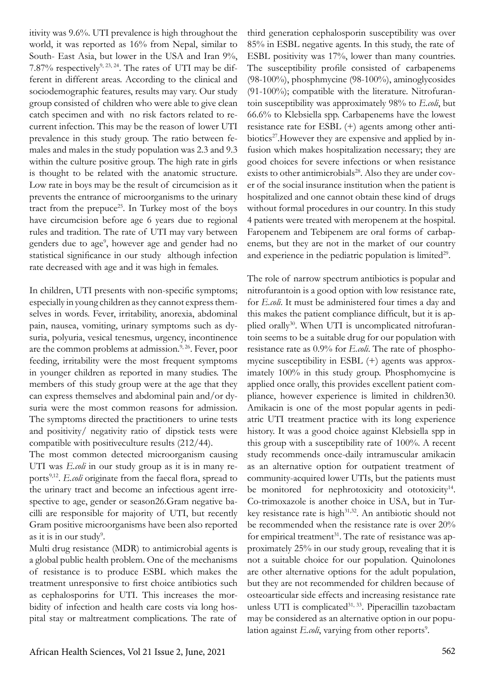itivity was 9.6%. UTI prevalence is high throughout the world, it was reported as 16% from Nepal, similar to South- East Asia, but lower in the USA and Iran 9%, 7.87% respectively<sup>9, 23, 24</sup>. The rates of UTI may be different in different areas. According to the clinical and sociodemographic features, results may vary. Our study group consisted of children who were able to give clean catch specimen and with no risk factors related to recurrent infection. This may be the reason of lower UTI prevalence in this study group. The ratio between females and males in the study population was 2.3 and 9.3 within the culture positive group. The high rate in girls is thought to be related with the anatomic structure. Low rate in boys may be the result of circumcision as it prevents the entrance of microorganisms to the urinary tract from the prepuce<sup>25</sup>. In Turkey most of the boys have circumcision before age 6 years due to regional rules and tradition. The rate of UTI may vary between genders due to age<sup>9</sup>, however age and gender had no statistical significance in our study although infection rate decreased with age and it was high in females.

In children, UTI presents with non-specific symptoms; especially in young children as they cannot express themselves in words. Fever, irritability, anorexia, abdominal pain, nausea, vomiting, urinary symptoms such as dysuria, polyuria, vesical tenesmus, urgency, incontinence are the common problems at admission.<sup>9, 26</sup>. Fever, poor feeding, irritability were the most frequent symptoms in younger children as reported in many studies. The members of this study group were at the age that they can express themselves and abdominal pain and/or dysuria were the most common reasons for admission. The symptoms directed the practitioners to urine tests and positivity/ negativity ratio of dipstick tests were compatible with positiveculture results (212/44).

The most common detected microorganism causing UTI was *E.coli* in our study group as it is in many reports<sup>9,12</sup>. *E.coli* originate from the faecal flora, spread to the urinary tract and become an infectious agent irrespective to age, gender or season26.Gram negative bacilli are responsible for majority of UTI, but recently Gram positive microorganisms have been also reported as it is in our study<sup>9</sup>.

Multi drug resistance (MDR) to antimicrobial agents is a global public health problem. One of the mechanisms of resistance is to produce ESBL which makes the treatment unresponsive to first choice antibiotics such as cephalosporins for UTI. This increases the morbidity of infection and health care costs via long hospital stay or maltreatment complications. The rate of

third generation cephalosporin susceptibility was over 85% in ESBL negative agents. In this study, the rate of ESBL positivity was 17%, lower than many countries. The susceptibility profile consisted of carbapenems (98-100%), phosphmycine (98-100%), aminoglycosides (91-100%); compatible with the literature. Nitrofurantoin susceptibility was approximately 98% to *E.coli*, but 66.6% to Klebsiella spp. Carbapenems have the lowest resistance rate for ESBL (+) agents among other antibiotics<sup>27</sup>. However they are expensive and applied by infusion which makes hospitalization necessary; they are good choices for severe infections or when resistance exists to other antimicrobials<sup>28</sup>. Also they are under cover of the social insurance institution when the patient is hospitalized and one cannot obtain these kind of drugs without formal procedures in our country. In this study 4 patients were treated with meropenem at the hospital. Faropenem and Tebipenem are oral forms of carbapenems, but they are not in the market of our country and experience in the pediatric population is limited $2^2$ .

The role of narrow spectrum antibiotics is popular and nitrofurantoin is a good option with low resistance rate, for *E.coli*. It must be administered four times a day and this makes the patient compliance difficult, but it is applied orally30. When UTI is uncomplicated nitrofurantoin seems to be a suitable drug for our population with resistance rate as 0.9% for *E.coli*. The rate of phosphomycine susceptibility in ESBL (+) agents was approximately 100% in this study group. Phosphomycine is applied once orally, this provides excellent patient compliance, however experience is limited in children30. Amikacin is one of the most popular agents in pediatric UTI treatment practice with its long experience history. It was a good choice against Klebsiella spp in this group with a susceptibility rate of 100%. A recent study recommends once-daily intramuscular amikacin as an alternative option for outpatient treatment of community-acquired lower UTIs, but the patients must be monitored for nephrotoxicity and ototoxicity<sup>14</sup>. Co-trimoxazole is another choice in USA, but in Turkey resistance rate is high<sup>31,32</sup>. An antibiotic should not be recommended when the resistance rate is over 20% for empirical treatment<sup>31</sup>. The rate of resistance was approximately 25% in our study group, revealing that it is not a suitable choice for our population. Quinolones are other alternative options for the adult population, but they are not recommended for children because of osteoarticular side effects and increasing resistance rate unless UTI is complicated<sup>31, 33</sup>. Piperacillin tazobactam may be considered as an alternative option in our population against *E.coli*, varying from other reports<sup>9</sup>.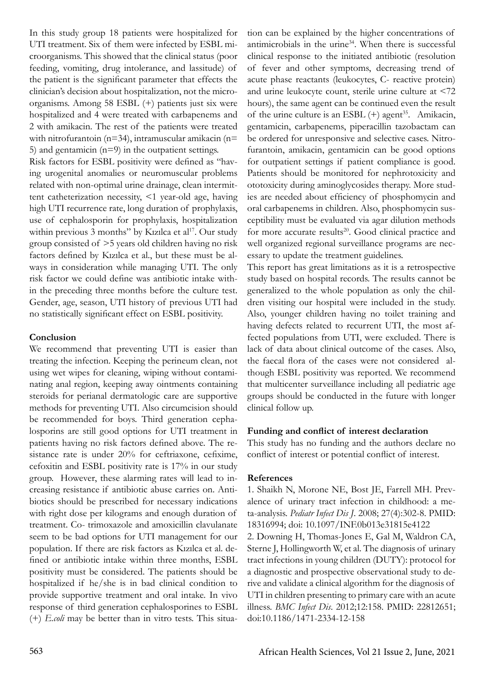In this study group 18 patients were hospitalized for UTI treatment. Six of them were infected by ESBL microorganisms. This showed that the clinical status (poor feeding, vomiting, drug intolerance, and lassitude) of the patient is the significant parameter that effects the clinician's decision about hospitalization, not the microorganisms. Among 58 ESBL (+) patients just six were hospitalized and 4 were treated with carbapenems and 2 with amikacin. The rest of the patients were treated with nitrofurantoin (n=34), intramuscular amikacin (n= 5) and gentamic  $(n=9)$  in the outpatient settings.

Risk factors for ESBL positivity were defined as "having urogenital anomalies or neuromuscular problems related with non-optimal urine drainage, clean intermittent catheterization necessity, <1 year-old age, having high UTI recurrence rate, long duration of prophylaxis, use of cephalosporin for prophylaxis, hospitalization within previous 3 months" by Kızılca et al<sup>17</sup>. Our study group consisted of >5 years old children having no risk factors defined by Kızılca et al., but these must be always in consideration while managing UTI. The only risk factor we could define was antibiotic intake within the preceding three months before the culture test. Gender, age, season, UTI history of previous UTI had no statistically significant effect on ESBL positivity.

## **Conclusion**

We recommend that preventing UTI is easier than treating the infection. Keeping the perineum clean, not using wet wipes for cleaning, wiping without contaminating anal region, keeping away ointments containing steroids for perianal dermatologic care are supportive methods for preventing UTI. Also circumcision should be recommended for boys. Third generation cephalosporins are still good options for UTI treatment in patients having no risk factors defined above. The resistance rate is under 20% for ceftriaxone, cefixime, cefoxitin and ESBL positivity rate is 17% in our study group. However, these alarming rates will lead to increasing resistance if antibiotic abuse carries on. Antibiotics should be prescribed for necessary indications with right dose per kilograms and enough duration of treatment. Co- trimoxazole and amoxicillin clavulanate seem to be bad options for UTI management for our population. If there are risk factors as Kızılca et al. defined or antibiotic intake within three months, ESBL positivity must be considered. The patients should be hospitalized if he/she is in bad clinical condition to provide supportive treatment and oral intake. In vivo response of third generation cephalosporines to ESBL (+) *E.coli* may be better than in vitro tests. This situation can be explained by the higher concentrations of antimicrobials in the urine34. When there is successful clinical response to the initiated antibiotic (resolution of fever and other symptoms, decreasing trend of acute phase reactants (leukocytes, C- reactive protein) and urine leukocyte count, sterile urine culture at <72 hours), the same agent can be continued even the result of the urine culture is an ESBL  $(+)$  agent<sup>35</sup>. Amikacin, gentamicin, carbapenems, piperacillin tazobactam can be ordered for unresponsive and selective cases. Nitrofurantoin, amikacin, gentamicin can be good options for outpatient settings if patient compliance is good. Patients should be monitored for nephrotoxicity and ototoxicity during aminoglycosides therapy. More studies are needed about efficiency of phosphomycin and oral carbapenems in children. Also, phosphomycin susceptibility must be evaluated via agar dilution methods for more accurate results<sup>20</sup>. Good clinical practice and well organized regional surveillance programs are necessary to update the treatment guidelines.

This report has great limitations as it is a retrospective study based on hospital records. The results cannot be generalized to the whole population as only the children visiting our hospital were included in the study. Also, younger children having no toilet training and having defects related to recurrent UTI, the most affected populations from UTI, were excluded. There is lack of data about clinical outcome of the cases. Also, the faecal flora of the cases were not considered although ESBL positivity was reported. We recommend that multicenter surveillance including all pediatric age groups should be conducted in the future with longer clinical follow up.

#### **Funding and conflict of interest declaration**

This study has no funding and the authors declare no conflict of interest or potential conflict of interest.

#### **References**

1. Shaikh N, Morone NE, Bost JE, Farrell MH. Prevalence of urinary tract infection in childhood: a meta-analysis. *Pediatr Infect Dis J*. 2008; 27(4):302-8. PMID: 18316994; doi: 10.1097/INF.0b013e31815e4122 2. Downing H, Thomas-Jones E, Gal M, Waldron CA, Sterne J, Hollingworth W, et al. The diagnosis of urinary tract infections in young children (DUTY): protocol for a diagnostic and prospective observational study to derive and validate a clinical algorithm for the diagnosis of UTI in children presenting to primary care with an acute illness. *BMC Infect Dis*. 2012;12:158. PMID: 22812651; doi:10.1186/1471-2334-12-158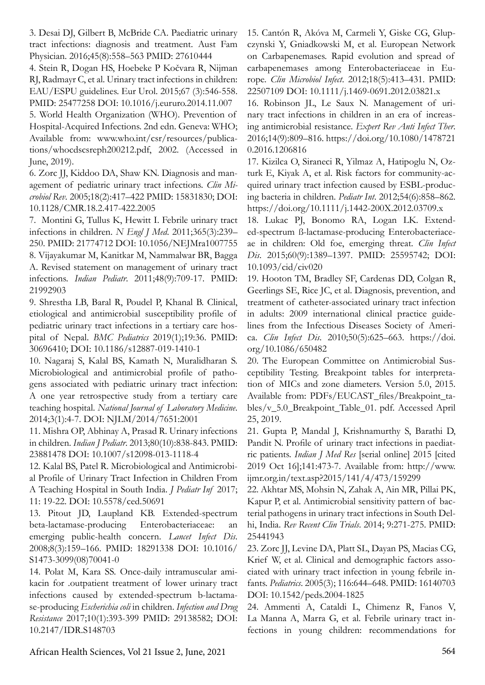3. Desai DJ, Gilbert B, McBride CA. Paediatric urinary tract infections: diagnosis and treatment. Aust Fam Physician. 2016;45(8):558–563 PMID: 27610444

4. Stein R, Dogan HS, Hoebeke P Kočvara R, Nijman RJ, Radmayr C, et al. Urinary tract infections in children: EAU/ESPU guidelines. Eur Urol. 2015;67 (3):546-558. PMID: 25477258 DOI: 10.1016/j.eururo.2014.11.007

5. World Health Organization (WHO). Prevention of Hospital-Acquired Infections. 2nd edn. Geneva: WHO; Available from: www.who.int/csr/resources/publications/whocdscsreph200212.pdf, 2002. (Accessed in June, 2019).

6. Zorc JJ, Kiddoo DA, Shaw KN. Diagnosis and management of pediatric urinary tract infections. *Clin Microbiol Rev*. 2005;18(2):417–422 PMID: 15831830; DOI: 10.1128/CMR.18.2.417-422.2005

7. Montini G, Tullus K, Hewitt I. Febrile urinary tract infections in children. *N Engl J Med*. 2011;365(3):239– 250. PMID: 21774712 DOI: 10.1056/NEJMra1007755 8. Vijayakumar M, Kanitkar M, Nammalwar BR, Bagga A. Revised statement on management of urinary tract infections. *Indian Pediatr*. 2011;48(9):709-17. PMID: 21992903

9. Shrestha LB, Baral R, Poudel P, Khanal B. Clinical, etiological and antimicrobial susceptibility profile of pediatric urinary tract infections in a tertiary care hospital of Nepal. *BMC Pediatrics* 2019(1);19:36. PMID: 30696410; DOI: 10.1186/s12887-019-1410-1

10. Nagaraj S, Kalal BS, Kamath N, Muralidharan S. Microbiological and antimicrobial profile of pathogens associated with pediatric urinary tract infection: A one year retrospective study from a tertiary care teaching hospital. *National Journal of Laboratory Medicine*. 2014;3(1):4-7. DOI: NJLM/2014/7651:2001

11. Mishra OP, Abhinay A, Prasad R. Urinary infections in children. *Indian J Pediatr*. 2013;80(10):838-843. PMID: 23881478 DOI: 10.1007/s12098-013-1118-4

12. Kalal BS, Patel R. Microbiological and Antimicrobial Profile of Urinary Tract Infection in Children From A Teaching Hospital in South India. *J Pediatr Inf* 2017; 11: 19-22. DOI: 10.5578/ced.50691

13. Pitout JD, Laupland KB. Extended-spectrum beta-lactamase-producing Enterobacteriaceae: an emerging public-health concern. *Lancet Infect Dis*. 2008;8(3):159–166. PMID: 18291338 DOI: 10.1016/ S1473-3099(08)70041-0

14. Polat M, Kara SS. Once-daily intramuscular amikacin for .outpatient treatment of lower urinary tract infections caused by extended-spectrum b-lactamase-producing *Escherichia coli* in children. *Infection and Drug Resistance* 2017;10(1):393-399 PMID: 29138582; DOI: 10.2147/IDR.S148703

15. Cantón R, Akóva M, Carmeli Y, Giske CG, Glupczynski Y, Gniadkowski M, et al. European Network on Carbapenemases. Rapid evolution and spread of carbapenemases among Enterobacteriaceae in Europe. *Clin Microbiol Infect*. 2012;18(5):413–431. PMID: 22507109 DOI: 10.1111/j.1469-0691.2012.03821.x

16. Robinson JL, Le Saux N. Management of urinary tract infections in children in an era of increasing antimicrobial resistance. *Expert Rev Anti Infect Ther*. 2016;14(9):809–816. https://doi.org/10.1080/1478721 0.2016.1206816

17. Kizilca O, Siraneci R, Yilmaz A, Hatipoglu N, Ozturk E, Kiyak A, et al. Risk factors for community-acquired urinary tract infection caused by ESBL-producing bacteria in children. *Pediatr Int*. 2012;54(6):858–862. https://doi.org/10.1111/j.1442-200X.2012.03709.x

18. Lukac PJ, Bonomo RA, Logan LK. Extended-spectrum ß-lactamase-producing Enterobacteriaceae in children: Old foe, emerging threat. *Clin Infect Dis*. 2015;60(9):1389–1397. PMID: 25595742; DOI: 10.1093/cid/civ020

19. Hooton TM, Bradley SF, Cardenas DD, Colgan R, Geerlings SE, Rice JC, et al. Diagnosis, prevention, and treatment of catheter-associated urinary tract infection in adults: 2009 international clinical practice guidelines from the Infectious Diseases Society of America. *Clin Infect Dis*. 2010;50(5):625–663. https://doi. org/10.1086/650482

20. The European Committee on Antimicrobial Susceptibility Testing. Breakpoint tables for interpretation of MICs and zone diameters. Version 5.0, 2015. Available from: PDFs/EUCAST\_files/Breakpoint\_tables/v\_5.0\_Breakpoint\_Table\_01. pdf. Accessed April 25, 2019.

21. Gupta P, Mandal J, Krishnamurthy S, Barathi D, Pandit N. Profile of urinary tract infections in paediatric patients. *Indian J Med Res* [serial online] 2015 [cited 2019 Oct 16];141:473-7. Available from: http://www. ijmr.org.in/text.asp?2015/141/4/473/159299

22. Akhtar MS, Mohsin N, Zahak A, Ain MR, Pillai PK, Kapur P, et al. Antimicrobial sensitivity pattern of bacterial pathogens in urinary tract infections in South Delhi, India. *Rev Recent Clin Trials*. 2014; 9:271-275. PMID: 25441943

23. Zorc JJ, Levine DA, Platt SL, Dayan PS, Macias CG, Krief W, et al. Clinical and demographic factors associated with urinary tract infection in young febrile infants. *Pediatrics*. 2005(3); 116:644–648. PMID: 16140703 DOI: 10.1542/peds.2004-1825

24. Ammenti A, Cataldi L, Chimenz R, Fanos V, La Manna A, Marra G, et al. Febrile urinary tract infections in young children: recommendations for